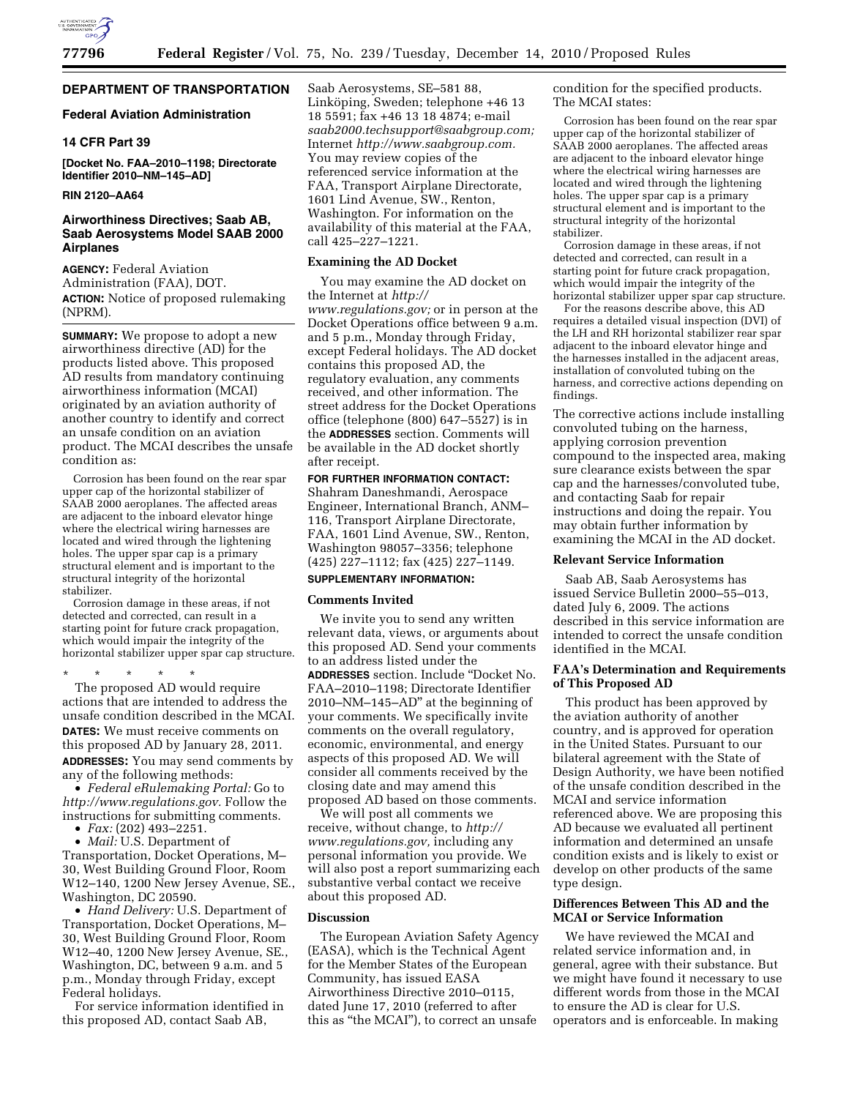

# **DEPARTMENT OF TRANSPORTATION**

# **Federal Aviation Administration**

# **14 CFR Part 39**

**[Docket No. FAA–2010–1198; Directorate Identifier 2010–NM–145–AD]** 

# **RIN 2120–AA64**

# **Airworthiness Directives; Saab AB, Saab Aerosystems Model SAAB 2000 Airplanes**

**AGENCY:** Federal Aviation Administration (FAA), DOT. **ACTION:** Notice of proposed rulemaking (NPRM).

**SUMMARY:** We propose to adopt a new airworthiness directive (AD) for the products listed above. This proposed AD results from mandatory continuing airworthiness information (MCAI) originated by an aviation authority of another country to identify and correct an unsafe condition on an aviation product. The MCAI describes the unsafe condition as:

Corrosion has been found on the rear spar upper cap of the horizontal stabilizer of SAAB 2000 aeroplanes. The affected areas are adjacent to the inboard elevator hinge where the electrical wiring harnesses are located and wired through the lightening holes. The upper spar cap is a primary structural element and is important to the structural integrity of the horizontal stabilizer.

Corrosion damage in these areas, if not detected and corrected, can result in a starting point for future crack propagation, which would impair the integrity of the horizontal stabilizer upper spar cap structure.

\* \* \* \* \*

The proposed AD would require actions that are intended to address the unsafe condition described in the MCAI. **DATES:** We must receive comments on this proposed AD by January 28, 2011. **ADDRESSES:** You may send comments by any of the following methods:

• *Federal eRulemaking Portal:* Go to *[http://www.regulations.gov.](http://www.regulations.gov)* Follow the instructions for submitting comments.

• *Fax:* (202) 493–2251.

• *Mail:* U.S. Department of Transportation, Docket Operations, M– 30, West Building Ground Floor, Room W12–140, 1200 New Jersey Avenue, SE.,

Washington, DC 20590. • *Hand Delivery:* U.S. Department of Transportation, Docket Operations, M– 30, West Building Ground Floor, Room W12–40, 1200 New Jersey Avenue, SE., Washington, DC, between 9 a.m. and 5 p.m., Monday through Friday, except Federal holidays.

For service information identified in this proposed AD, contact Saab AB,

Saab Aerosystems, SE–581 88, Linköping, Sweden; telephone +46 13 18 5591; fax +46 13 18 4874; e-mail *[saab2000.techsupport@saabgroup.com;](mailto:saab2000.techsupport@saabgroup.com)*  Internet *[http://www.saabgroup.com.](http://www.saabgroup.com)*  You may review copies of the referenced service information at the FAA, Transport Airplane Directorate, 1601 Lind Avenue, SW., Renton, Washington. For information on the availability of this material at the FAA, call 425–227–1221.

#### **Examining the AD Docket**

You may examine the AD docket on the Internet at *[http://](http://www.regulations.gov)  [www.regulations.gov;](http://www.regulations.gov)* or in person at the Docket Operations office between 9 a.m. and 5 p.m., Monday through Friday, except Federal holidays. The AD docket contains this proposed AD, the regulatory evaluation, any comments received, and other information. The street address for the Docket Operations office (telephone (800) 647–5527) is in the **ADDRESSES** section. Comments will be available in the AD docket shortly after receipt.

# **FOR FURTHER INFORMATION CONTACT:**

Shahram Daneshmandi, Aerospace Engineer, International Branch, ANM– 116, Transport Airplane Directorate, FAA, 1601 Lind Avenue, SW., Renton, Washington 98057–3356; telephone (425) 227–1112; fax (425) 227–1149.

# **SUPPLEMENTARY INFORMATION:**

### **Comments Invited**

We invite you to send any written relevant data, views, or arguments about this proposed AD. Send your comments to an address listed under the **ADDRESSES** section. Include ''Docket No. FAA–2010–1198; Directorate Identifier 2010–NM–145–AD'' at the beginning of your comments. We specifically invite comments on the overall regulatory, economic, environmental, and energy aspects of this proposed AD. We will consider all comments received by the closing date and may amend this proposed AD based on those comments.

We will post all comments we receive, without change, to *[http://](http://www.regulations.gov) [www.regulations.gov,](http://www.regulations.gov)* including any personal information you provide. We will also post a report summarizing each substantive verbal contact we receive about this proposed AD.

# **Discussion**

The European Aviation Safety Agency (EASA), which is the Technical Agent for the Member States of the European Community, has issued EASA Airworthiness Directive 2010–0115, dated June 17, 2010 (referred to after this as ''the MCAI''), to correct an unsafe

condition for the specified products. The MCAI states:

Corrosion has been found on the rear spar upper cap of the horizontal stabilizer of SAAB 2000 aeroplanes. The affected areas are adjacent to the inboard elevator hinge where the electrical wiring harnesses are located and wired through the lightening holes. The upper spar cap is a primary structural element and is important to the structural integrity of the horizontal stabilizer.

Corrosion damage in these areas, if not detected and corrected, can result in a starting point for future crack propagation, which would impair the integrity of the horizontal stabilizer upper spar cap structure.

For the reasons describe above, this AD requires a detailed visual inspection (DVI) of the LH and RH horizontal stabilizer rear spar adjacent to the inboard elevator hinge and the harnesses installed in the adjacent areas, installation of convoluted tubing on the harness, and corrective actions depending on findings.

The corrective actions include installing convoluted tubing on the harness, applying corrosion prevention compound to the inspected area, making sure clearance exists between the spar cap and the harnesses/convoluted tube, and contacting Saab for repair instructions and doing the repair. You may obtain further information by examining the MCAI in the AD docket.

### **Relevant Service Information**

Saab AB, Saab Aerosystems has issued Service Bulletin 2000–55–013, dated July 6, 2009. The actions described in this service information are intended to correct the unsafe condition identified in the MCAI.

# **FAA's Determination and Requirements of This Proposed AD**

This product has been approved by the aviation authority of another country, and is approved for operation in the United States. Pursuant to our bilateral agreement with the State of Design Authority, we have been notified of the unsafe condition described in the MCAI and service information referenced above. We are proposing this AD because we evaluated all pertinent information and determined an unsafe condition exists and is likely to exist or develop on other products of the same type design.

# **Differences Between This AD and the MCAI or Service Information**

We have reviewed the MCAI and related service information and, in general, agree with their substance. But we might have found it necessary to use different words from those in the MCAI to ensure the AD is clear for U.S. operators and is enforceable. In making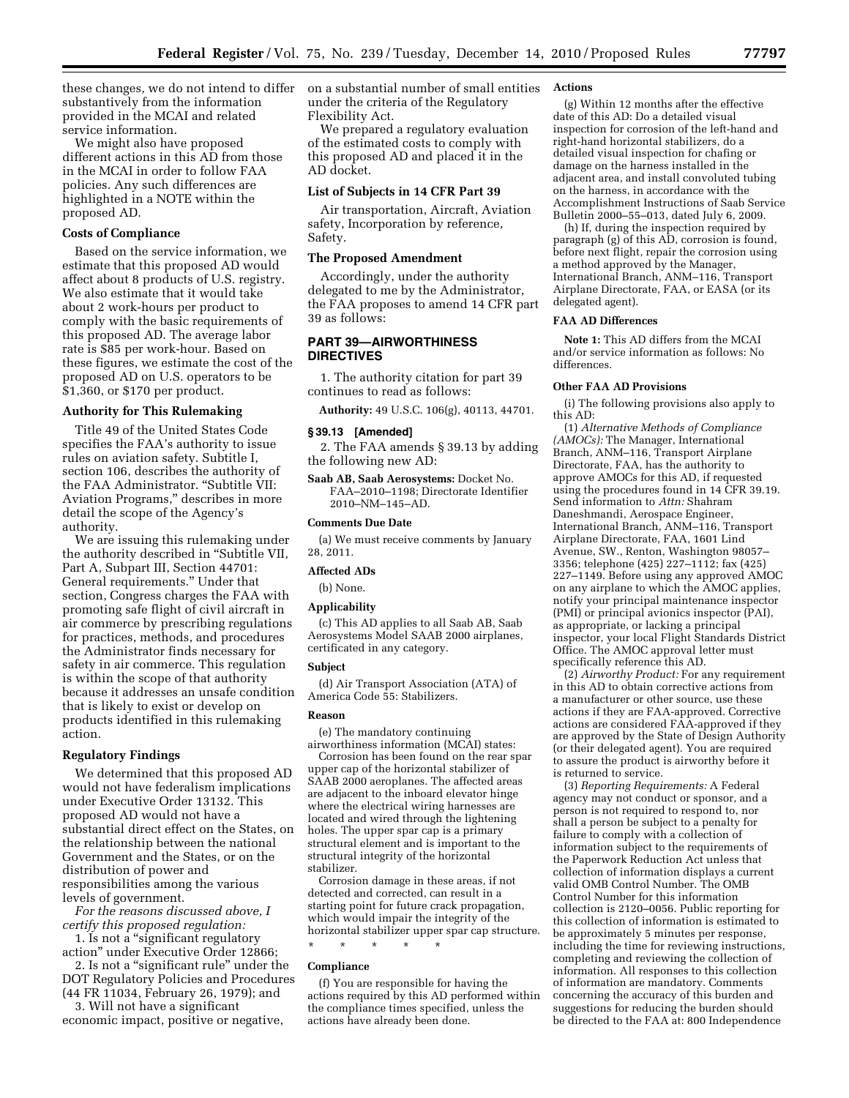these changes, we do not intend to differ on a substantial number of small entities substantively from the information provided in the MCAI and related service information.

We might also have proposed different actions in this AD from those in the MCAI in order to follow FAA policies. Any such differences are highlighted in a NOTE within the proposed AD.

### **Costs of Compliance**

Based on the service information, we estimate that this proposed AD would affect about 8 products of U.S. registry. We also estimate that it would take about 2 work-hours per product to comply with the basic requirements of this proposed AD. The average labor rate is \$85 per work-hour. Based on these figures, we estimate the cost of the proposed AD on U.S. operators to be \$1,360, or \$170 per product.

# **Authority for This Rulemaking**

Title 49 of the United States Code specifies the FAA's authority to issue rules on aviation safety. Subtitle I, section 106, describes the authority of the FAA Administrator. ''Subtitle VII: Aviation Programs,'' describes in more detail the scope of the Agency's authority.

We are issuing this rulemaking under the authority described in ''Subtitle VII, Part A, Subpart III, Section 44701: General requirements.'' Under that section, Congress charges the FAA with promoting safe flight of civil aircraft in air commerce by prescribing regulations for practices, methods, and procedures the Administrator finds necessary for safety in air commerce. This regulation is within the scope of that authority because it addresses an unsafe condition that is likely to exist or develop on products identified in this rulemaking action.

### **Regulatory Findings**

We determined that this proposed AD would not have federalism implications under Executive Order 13132. This proposed AD would not have a substantial direct effect on the States, on the relationship between the national Government and the States, or on the distribution of power and responsibilities among the various levels of government.

*For the reasons discussed above, I certify this proposed regulation:* 

1. Is not a ''significant regulatory action'' under Executive Order 12866;

2. Is not a ''significant rule'' under the DOT Regulatory Policies and Procedures (44 FR 11034, February 26, 1979); and

3. Will not have a significant economic impact, positive or negative, under the criteria of the Regulatory Flexibility Act.

We prepared a regulatory evaluation of the estimated costs to comply with this proposed AD and placed it in the AD docket.

# **List of Subjects in 14 CFR Part 39**

Air transportation, Aircraft, Aviation safety, Incorporation by reference, Safety.

#### **The Proposed Amendment**

Accordingly, under the authority delegated to me by the Administrator, the FAA proposes to amend 14 CFR part 39 as follows:

# **PART 39—AIRWORTHINESS DIRECTIVES**

1. The authority citation for part 39 continues to read as follows:

**Authority:** 49 U.S.C. 106(g), 40113, 44701.

# **§ 39.13 [Amended]**

2. The FAA amends § 39.13 by adding the following new AD:

**Saab AB, Saab Aerosystems:** Docket No. FAA–2010–1198; Directorate Identifier 2010–NM–145–AD.

### **Comments Due Date**

(a) We must receive comments by January 28, 2011.

# **Affected ADs**

(b) None.

#### **Applicability**

(c) This AD applies to all Saab AB, Saab Aerosystems Model SAAB 2000 airplanes, certificated in any category.

#### **Subject**

(d) Air Transport Association (ATA) of America Code 55: Stabilizers.

#### **Reason**

(e) The mandatory continuing airworthiness information (MCAI) states:

Corrosion has been found on the rear spar upper cap of the horizontal stabilizer of SAAB 2000 aeroplanes. The affected areas are adjacent to the inboard elevator hinge where the electrical wiring harnesses are located and wired through the lightening holes. The upper spar cap is a primary structural element and is important to the structural integrity of the horizontal stabilizer.

Corrosion damage in these areas, if not detected and corrected, can result in a starting point for future crack propagation, which would impair the integrity of the horizontal stabilizer upper spar cap structure.

\* \* \* \* \*

# **Compliance**

(f) You are responsible for having the actions required by this AD performed within the compliance times specified, unless the actions have already been done.

#### **Actions**

(g) Within 12 months after the effective date of this AD: Do a detailed visual inspection for corrosion of the left-hand and right-hand horizontal stabilizers, do a detailed visual inspection for chafing or damage on the harness installed in the adjacent area, and install convoluted tubing on the harness, in accordance with the Accomplishment Instructions of Saab Service Bulletin 2000–55–013, dated July 6, 2009.

(h) If, during the inspection required by paragraph (g) of this AD, corrosion is found, before next flight, repair the corrosion using a method approved by the Manager, International Branch, ANM–116, Transport Airplane Directorate, FAA, or EASA (or its delegated agent).

#### **FAA AD Differences**

**Note 1:** This AD differs from the MCAI and/or service information as follows: No differences.

# **Other FAA AD Provisions**

(i) The following provisions also apply to this AD:

(1) *Alternative Methods of Compliance (AMOCs):* The Manager, International Branch, ANM–116, Transport Airplane Directorate, FAA, has the authority to approve AMOCs for this AD, if requested using the procedures found in 14 CFR 39.19. Send information to *Attn:* Shahram Daneshmandi, Aerospace Engineer, International Branch, ANM–116, Transport Airplane Directorate, FAA, 1601 Lind Avenue, SW., Renton, Washington 98057– 3356; telephone (425) 227–1112; fax (425) 227–1149. Before using any approved AMOC on any airplane to which the AMOC applies, notify your principal maintenance inspector (PMI) or principal avionics inspector (PAI), as appropriate, or lacking a principal inspector, your local Flight Standards District Office. The AMOC approval letter must specifically reference this AD.

(2) *Airworthy Product:* For any requirement in this AD to obtain corrective actions from a manufacturer or other source, use these actions if they are FAA-approved. Corrective actions are considered FAA-approved if they are approved by the State of Design Authority (or their delegated agent). You are required to assure the product is airworthy before it is returned to service.

(3) *Reporting Requirements:* A Federal agency may not conduct or sponsor, and a person is not required to respond to, nor shall a person be subject to a penalty for failure to comply with a collection of information subject to the requirements of the Paperwork Reduction Act unless that collection of information displays a current valid OMB Control Number. The OMB Control Number for this information collection is 2120–0056. Public reporting for this collection of information is estimated to be approximately 5 minutes per response, including the time for reviewing instructions, completing and reviewing the collection of information. All responses to this collection of information are mandatory. Comments concerning the accuracy of this burden and suggestions for reducing the burden should be directed to the FAA at: 800 Independence